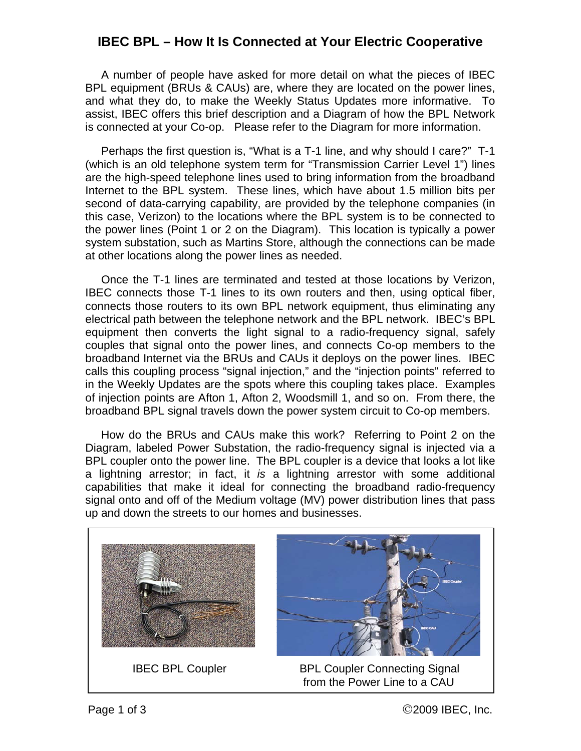## **IBEC BPL – How It Is Connected at Your Electric Cooperative**

 A number of people have asked for more detail on what the pieces of IBEC BPL equipment (BRUs & CAUs) are, where they are located on the power lines, and what they do, to make the Weekly Status Updates more informative. To assist, IBEC offers this brief description and a Diagram of how the BPL Network is connected at your Co-op. Please refer to the Diagram for more information.

 Perhaps the first question is, "What is a T-1 line, and why should I care?" T-1 (which is an old telephone system term for "Transmission Carrier Level 1") lines are the high-speed telephone lines used to bring information from the broadband Internet to the BPL system. These lines, which have about 1.5 million bits per second of data-carrying capability, are provided by the telephone companies (in this case, Verizon) to the locations where the BPL system is to be connected to the power lines (Point 1 or 2 on the Diagram). This location is typically a power system substation, such as Martins Store, although the connections can be made at other locations along the power lines as needed.

 Once the T-1 lines are terminated and tested at those locations by Verizon, IBEC connects those T-1 lines to its own routers and then, using optical fiber, connects those routers to its own BPL network equipment, thus eliminating any electrical path between the telephone network and the BPL network. IBEC's BPL equipment then converts the light signal to a radio-frequency signal, safely couples that signal onto the power lines, and connects Co-op members to the broadband Internet via the BRUs and CAUs it deploys on the power lines. IBEC calls this coupling process "signal injection," and the "injection points" referred to in the Weekly Updates are the spots where this coupling takes place. Examples of injection points are Afton 1, Afton 2, Woodsmill 1, and so on. From there, the broadband BPL signal travels down the power system circuit to Co-op members.

 How do the BRUs and CAUs make this work? Referring to Point 2 on the Diagram, labeled Power Substation, the radio-frequency signal is injected via a BPL coupler onto the power line. The BPL coupler is a device that looks a lot like a lightning arrestor; in fact, it *is* a lightning arrestor with some additional capabilities that make it ideal for connecting the broadband radio-frequency signal onto and off of the Medium voltage (MV) power distribution lines that pass up and down the streets to our homes and businesses.





 IBEC BPL Coupler BPL Coupler Connecting Signal from the Power Line to a CAU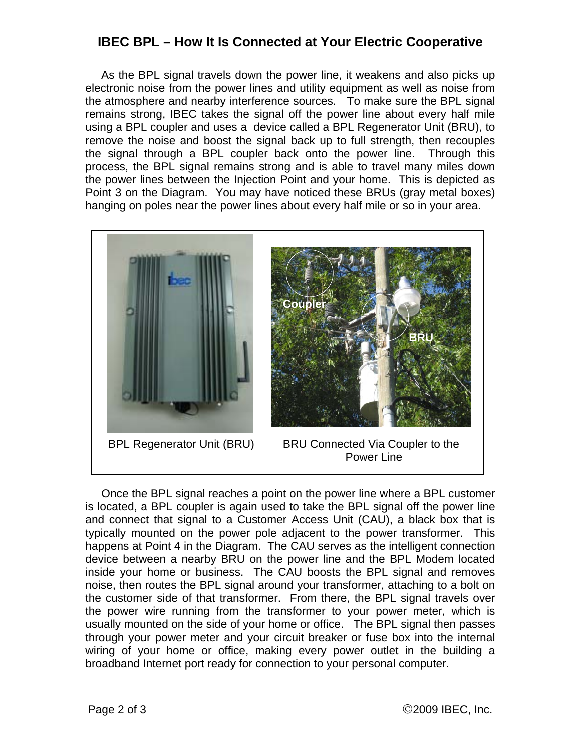## **IBEC BPL – How It Is Connected at Your Electric Cooperative**

 As the BPL signal travels down the power line, it weakens and also picks up electronic noise from the power lines and utility equipment as well as noise from the atmosphere and nearby interference sources. To make sure the BPL signal remains strong, IBEC takes the signal off the power line about every half mile using a BPL coupler and uses a device called a BPL Regenerator Unit (BRU), to remove the noise and boost the signal back up to full strength, then recouples the signal through a BPL coupler back onto the power line. Through this process, the BPL signal remains strong and is able to travel many miles down the power lines between the Injection Point and your home. This is depicted as Point 3 on the Diagram. You may have noticed these BRUs (gray metal boxes) hanging on poles near the power lines about every half mile or so in your area.



 Once the BPL signal reaches a point on the power line where a BPL customer is located, a BPL coupler is again used to take the BPL signal off the power line and connect that signal to a Customer Access Unit (CAU), a black box that is typically mounted on the power pole adjacent to the power transformer. This happens at Point 4 in the Diagram. The CAU serves as the intelligent connection device between a nearby BRU on the power line and the BPL Modem located inside your home or business. The CAU boosts the BPL signal and removes noise, then routes the BPL signal around your transformer, attaching to a bolt on the customer side of that transformer. From there, the BPL signal travels over the power wire running from the transformer to your power meter, which is usually mounted on the side of your home or office. The BPL signal then passes through your power meter and your circuit breaker or fuse box into the internal wiring of your home or office, making every power outlet in the building a broadband Internet port ready for connection to your personal computer.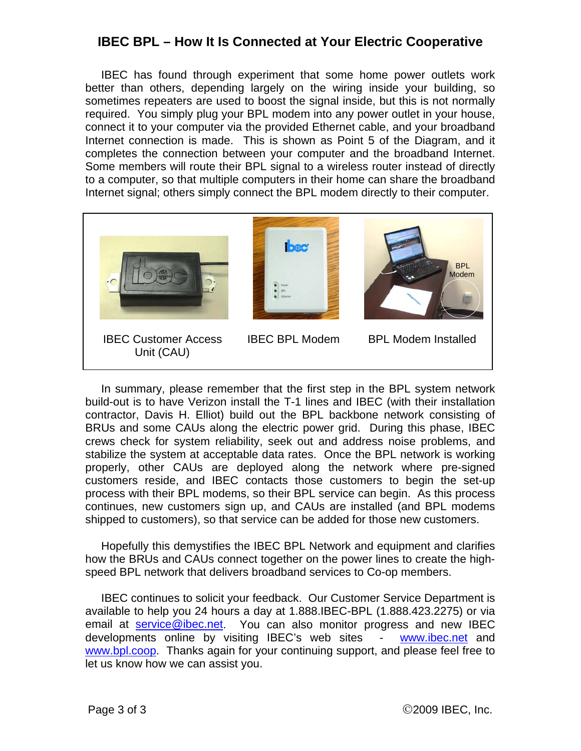## **IBEC BPL – How It Is Connected at Your Electric Cooperative**

 IBEC has found through experiment that some home power outlets work better than others, depending largely on the wiring inside your building, so sometimes repeaters are used to boost the signal inside, but this is not normally required. You simply plug your BPL modem into any power outlet in your house, connect it to your computer via the provided Ethernet cable, and your broadband Internet connection is made. This is shown as Point 5 of the Diagram, and it completes the connection between your computer and the broadband Internet. Some members will route their BPL signal to a wireless router instead of directly to a computer, so that multiple computers in their home can share the broadband Internet signal; others simply connect the BPL modem directly to their computer.



 In summary, please remember that the first step in the BPL system network build-out is to have Verizon install the T-1 lines and IBEC (with their installation contractor, Davis H. Elliot) build out the BPL backbone network consisting of BRUs and some CAUs along the electric power grid. During this phase, IBEC crews check for system reliability, seek out and address noise problems, and stabilize the system at acceptable data rates. Once the BPL network is working properly, other CAUs are deployed along the network where pre-signed customers reside, and IBEC contacts those customers to begin the set-up process with their BPL modems, so their BPL service can begin. As this process continues, new customers sign up, and CAUs are installed (and BPL modems shipped to customers), so that service can be added for those new customers.

 Hopefully this demystifies the IBEC BPL Network and equipment and clarifies how the BRUs and CAUs connect together on the power lines to create the highspeed BPL network that delivers broadband services to Co-op members.

 IBEC continues to solicit your feedback. Our Customer Service Department is available to help you 24 hours a day at 1.888.IBEC-BPL (1.888.423.2275) or via email at [service@ibec.net](mailto:service@ibec.net). You can also monitor progress and new IBEC developments online by visiting IBEC's web sites - [www.ibec.net](http://www.ibec.net/) and [www.bpl.coop.](http://www.bpl.coop/) Thanks again for your continuing support, and please feel free to let us know how we can assist you.